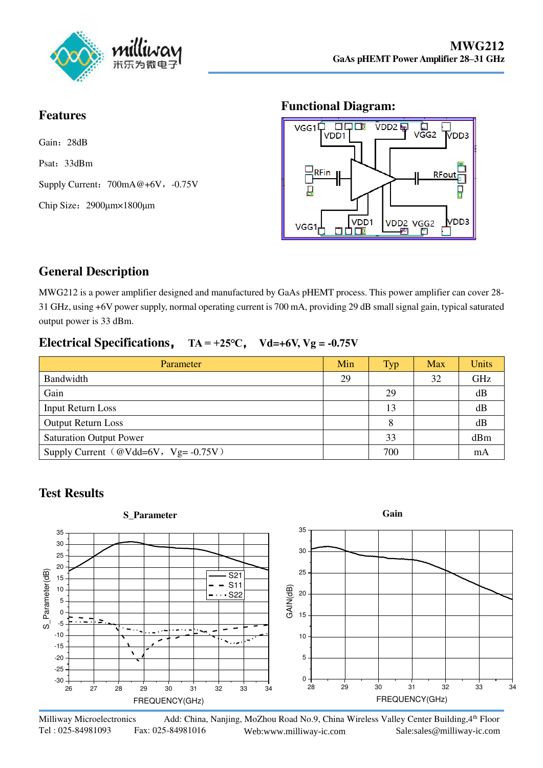

#### **Features**

Gain: 28dB Psat:33dBm Supply Current:  $700mA@+6V$ , -0.75V Chip Size:2900μm×1800μm

#### **Functional Diagram:**



# **General Description**

MWG212 is a power amplifier designed and manufactured by GaAs pHEMT process. This power amplifier can cover 28- 31 GHz, using +6V power supply, normal operating current is 700 mA, providing 29 dB small signal gain, typical saturated output power is 33 dBm.

### **Electrical Specifications**, **TA = +25℃**, **Vd=+6V, Vg = -0.75V**

| Parameter                                   | Min | <b>Typ</b> | Max | Units |
|---------------------------------------------|-----|------------|-----|-------|
| Bandwidth                                   | 29  |            | 32  | GHz   |
| Gain                                        |     | 29         |     | dB    |
| <b>Input Return Loss</b>                    |     | 13         |     | dB    |
| <b>Output Return Loss</b>                   |     |            |     | dB    |
| <b>Saturation Output Power</b>              |     | 33         |     | dBm   |
| Supply Current ( $@Vdd=6V$ , $Vg= -0.75V$ ) |     | 700        |     | mA    |

## **Test Results**



Milliway Microelectronics Add: China, Nanjing, MoZhou Road No.9, China Wireless Valley Center Building, 4th Floor Tel : 025-84981093 Fax: 025-84981016 Web:www.milliway-ic.com Sa[le:sales@milliway-ic.com](http://www.milliway-ic.com/)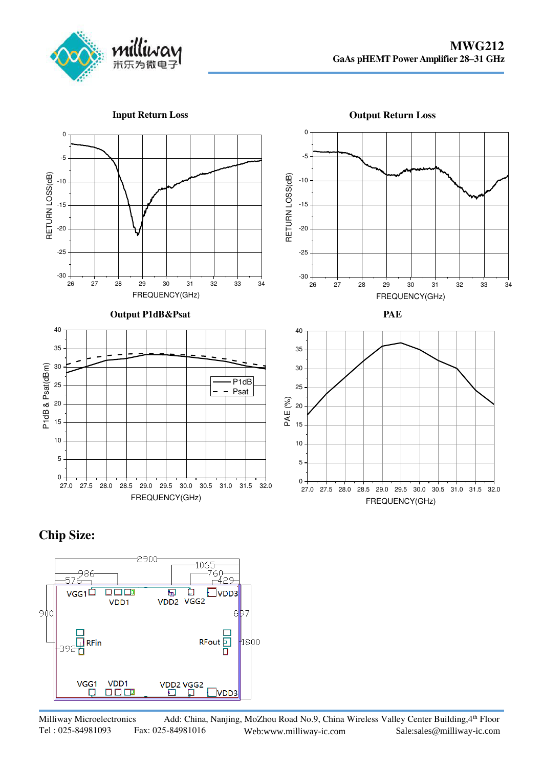

**Input Return Loss** 





## **Chip Size:**